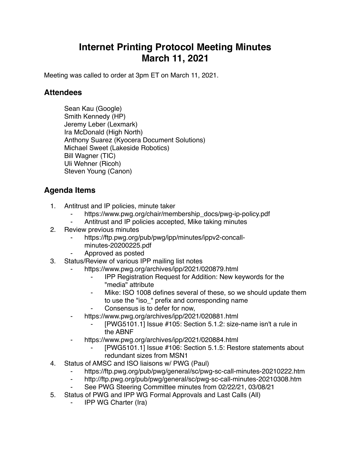## **Internet Printing Protocol Meeting Minutes March 11, 2021**

Meeting was called to order at 3pm ET on March 11, 2021.

## **Attendees**

Sean Kau (Google) Smith Kennedy (HP) Jeremy Leber (Lexmark) Ira McDonald (High North) Anthony Suarez (Kyocera Document Solutions) Michael Sweet (Lakeside Robotics) Bill Wagner (TIC) Uli Wehner (Ricoh) Steven Young (Canon)

## **Agenda Items**

- 1. Antitrust and IP policies, minute taker
	- https://www.pwg.org/chair/membership\_docs/pwg-ip-policy.pdf
	- ⁃ Antitrust and IP policies accepted, Mike taking minutes
- 2. Review previous minutes
	- https://ftp.pwg.org/pub/pwg/ipp/minutes/ippv2-concall
		- minutes-20200225.pdf
	- ⁃ Approved as posted
- 3. Status/Review of various IPP mailing list notes
	- https://www.pwg.org/archives/ipp/2021/020879.html
		- ⁃ IPP Registration Request for Addition: New keywords for the "media" attribute
		- Mike: ISO 1008 defines several of these, so we should update them to use the "iso\_" prefix and corresponding name
		- Consensus is to defer for now,
	- https://www.pwg.org/archives/ipp/2021/020881.html
		- [PWG5101.1] Issue #105: Section 5.1.2: size-name isn't a rule in the ABNF
		- https://www.pwg.org/archives/ipp/2021/020884.html
			- ⁃ [PWG5101.1] Issue #106: Section 5.1.5: Restore statements about redundant sizes from MSN1
- 4. Status of AMSC and ISO liaisons w/ PWG (Paul)
	- ⁃ https://ftp.pwg.org/pub/pwg/general/sc/pwg-sc-call-minutes-20210222.htm
	- ⁃ http://ftp.pwg.org/pub/pwg/general/sc/pwg-sc-call-minutes-20210308.htm
	- ⁃ See PWG Steering Committee minutes from 02/22/21, 03/08/21
- 5. Status of PWG and IPP WG Formal Approvals and Last Calls (All)
	- **IPP WG Charter (Ira)**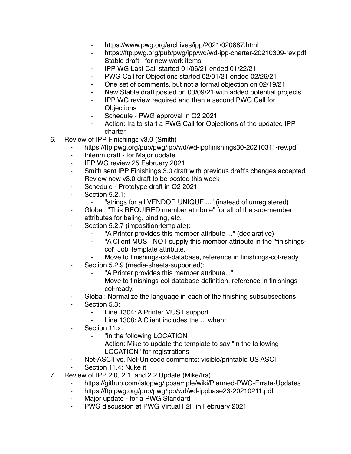- ⁃ https://www.pwg.org/archives/ipp/2021/020887.html
- ⁃ https://ftp.pwg.org/pub/pwg/ipp/wd/wd-ipp-charter-20210309-rev.pdf
- Stable draft for new work items
- ⁃ IPP WG Last Call started 01/06/21 ended 01/22/21
- ⁃ PWG Call for Objections started 02/01/21 ended 02/26/21
- One set of comments, but not a formal objection on 02/19/21
- New Stable draft posted on 03/09/21 with added potential projects
- IPP WG review required and then a second PWG Call for **Objections**
- ⁃ Schedule PWG approval in Q2 2021
- Action: Ira to start a PWG Call for Objections of the updated IPP charter
- 6. Review of IPP Finishings v3.0 (Smith)
	- https://ftp.pwg.org/pub/pwg/ipp/wd/wd-ippfinishings30-20210311-rev.pdf
	- ⁃ Interim draft for Major update
	- ⁃ IPP WG review 25 February 2021
	- ⁃ Smith sent IPP Finishings 3.0 draft with previous draft's changes accepted
	- ⁃ Review new v3.0 draft to be posted this week
	- ⁃ Schedule Prototype draft in Q2 2021
	- ⁃ Section 5.2.1:
		- ⁃ "strings for all VENDOR UNIQUE ..." (instead of unregistered)
	- ⁃ Global: "This REQUIRED member attribute" for all of the sub-member attributes for baling, binding, etc.
	- Section 5.2.7 (imposition-template):
		- ⁃ "A Printer provides this member attribute ..." (declarative)
		- ⁃ "A Client MUST NOT supply this member attribute in the "finishingscol" Job Template attribute.
		- Move to finishings-col-database, reference in finishings-col-ready
	- Section 5.2.9 (media-sheets-supported):
		- "A Printer provides this member attribute..."
		- ⁃ Move to finishings-col-database definition, reference in finishingscol-ready.
	- Global: Normalize the language in each of the finishing subsubsections
	- Section 5.3:
		- ⁃ Line 1304: A Printer MUST support...
		- Line 1308: A Client includes the ... when:
	- Section 11.x:
		- "in the following LOCATION"
		- Action: Mike to update the template to say "in the following LOCATION" for registrations
		- Net-ASCII vs. Net-Unicode comments: visible/printable US ASCII
	- Section 11.4: Nuke it
- 7. Review of IPP 2.0, 2.1, and 2.2 Update (Mike/Ira)
	- https://github.com/istopwg/ippsample/wiki/Planned-PWG-Errata-Updates
	- ⁃ https://ftp.pwg.org/pub/pwg/ipp/wd/wd-ippbase23-20210211.pdf
	- Major update for a PWG Standard
	- ⁃ PWG discussion at PWG Virtual F2F in February 2021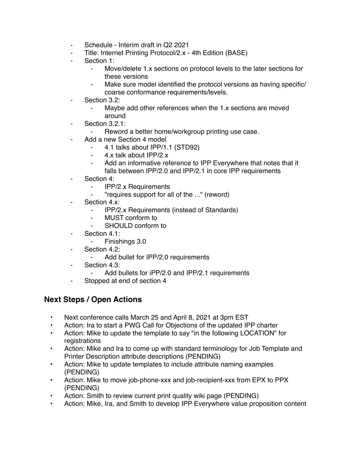- Schedule Interim draft in Q2 2021
- Title: Internet Printing Protocol/2.x 4th Edition (BASE)
- Section 1:
	- ⁃ Move/delete 1.x sections on protocol levels to the later sections for these versions
	- Make sure model identified the protocol versions as having specific/ coarse conformance requirements/levels.
- Section 3.2:
	- Maybe add other references when the 1.x sections are moved around
- Section 3.2.1:
	- ⁃ Reword a better home/workgroup printing use case.
- Add a new Section 4 model
	- ⁃ 4.1 talks about IPP/1.1 (STD92)
	- ⁃ 4.x talk about IPP/2.x
	- Add an informative reference to IPP Everywhere that notes that it falls between IPP/2.0 and IPP/2.1 in core IPP requirements
- Section 4:
	- ⁃ IPP/2.x Requirements
	- ⁃ "requires support for all of the ..." (reword)
- Section 4.x:
	- ⁃ IPP/2.x Requirements (instead of Standards)
	- **MUST** conform to
	- ⁃ SHOULD conform to
- ⁃ Section 4.1:
	- ⁃ Finishings 3.0
- Section 4.2:
	- ⁃ Add bullet for IPP/2.0 requirements
- Section 4.3:
	- Add bullets for iPP/2.0 and IPP/2.1 requirements
- Stopped at end of section 4

## **Next Steps / Open Actions**

- Next conference calls March 25 and April 8, 2021 at 3pm EST
- Action: Ira to start a PWG Call for Objections of the updated IPP charter
- Action: Mike to update the template to say "in the following LOCATION" for registrations
- Action: Mike and Ira to come up with standard terminology for Job Template and Printer Description attribute descriptions (PENDING)
- Action: Mike to update templates to include attribute naming examples (PENDING)
- Action: Mike to move job-phone-xxx and job-recipient-xxx from EPX to PPX (PENDING)
- Action: Smith to review current print quality wiki page (PENDING)
- Action: Mike, Ira, and Smith to develop IPP Everywhere value proposition content